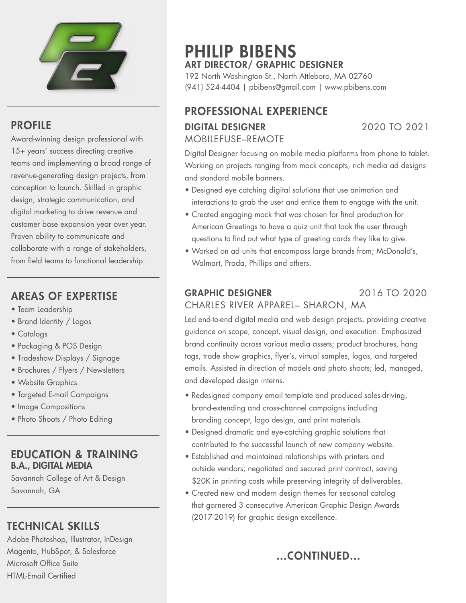

### PROFILE

Award-winning design professional with 15+ years' success directing creative teams and implementing a broad range of revenue-generating design projects, from conception to launch. Skilled in graphic design, strategic communication, and digital marketing to drive revenue and customer base expansion year over year. Proven ability to communicate and collaborate with a range of stakeholders, from field teams to functional leadership.

## AREAS OF EXPERTISE

- Team Leadership
- Brand Identity / Logos
- Catalogs
- Packaging & POS Design
- Tradeshow Displays / Signage
- Brochures / Flyers / Newsletters
- Website Graphics
- Targeted E-mail Campaigns
- Image Compositions
- Photo Shoots / Photo Editing

#### EDUCATION & TRAINING B.A., DIGITAL MEDIA

Savannah College of Art & Design Savannah, GA

## TECHNICAL SKILLS

Adobe Photoshop, Illustrator, InDesign Magento, HubSpot, & Salesforce Microsoft Office Suite HTML-Email Certified

# PHILIP BIBENS ART DIRECTOR/ GRAPHIC DESIGNER

192 North Washington St., North Attleboro, MA 02760 (941) 524-4404 | pbibens@gmail.com | www.pbibens.com

## PROFESSIONAL EXPERIENCE DIGITAL DESIGNER 2020 TO 2021 MOBILEFUSE–REMOTE

Digital Designer focusing on mobile media platforms from phone to tablet. Working on projects ranging from mock concepts, rich media ad designs and standard mobile banners.

- Designed eye catching digital solutions that use animation and interactions to grab the user and entice them to engage with the unit.
- Created engaging mock that was chosen for final production for American Greetings to have a quiz unit that took the user through questions to find out what type of greeting cards they like to give.
- Worked on ad units that encompass large brands from; McDonald's, Walmart, Prada, Phillips and others.

#### GRAPHIC DESIGNER 2016 TO 2020 CHARLES RIVER APPAREL– SHARON, MA

Led end-to-end digital media and web design projects, providing creative guidance on scope, concept, visual design, and execution. Emphasized brand continuity across various media assets; product brochures, hang tags, trade show graphics, flyer's, virtual samples, logos, and targeted emails. Assisted in direction of models and photo shoots; led, managed, and developed design interns.

- Redesigned company email template and produced sales-driving, brand-extending and cross-channel campaigns including branding concept, logo design, and print materials.
- Designed dramatic and eye-catching graphic solutions that contributed to the successful launch of new company website.
- Established and maintained relationships with printers and outside vendors; negotiated and secured print contract, saving \$20K in printing costs while preserving integrity of deliverables.
- Created new and modern design themes for seasonal catalog that garnered 3 consecutive American Graphic Design Awards (2017-2019) for graphic design excellence.

…CONTINUED…